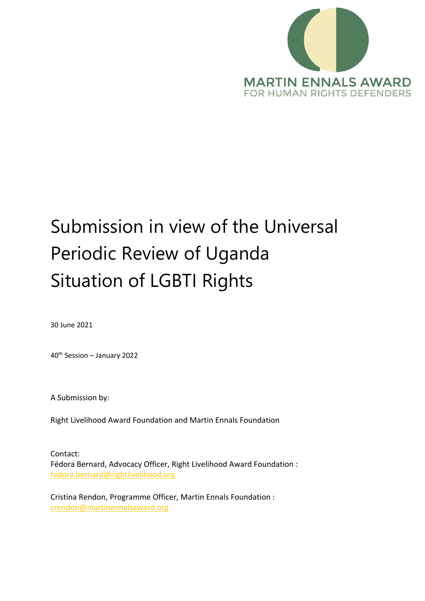

# Submission in view of the Universal Periodic Review of Uganda Situation of LGBTI Rights

30 June 2021

40th Session – January 2022

A Submission by:

Right Livelihood Award Foundation and Martin Ennals Foundation

Contact: Fédora Bernard, Advocacy Officer, Right Livelihood Award Foundation : [fedora.bernard@rightlivelihood.org](mailto:fedora.bernard@rightlivelihood.org)

Cristina Rendon, Programme Officer, Martin Ennals Foundation : [crendon@martinennalsaward.org](mailto:crendon@martinennalsaward.org)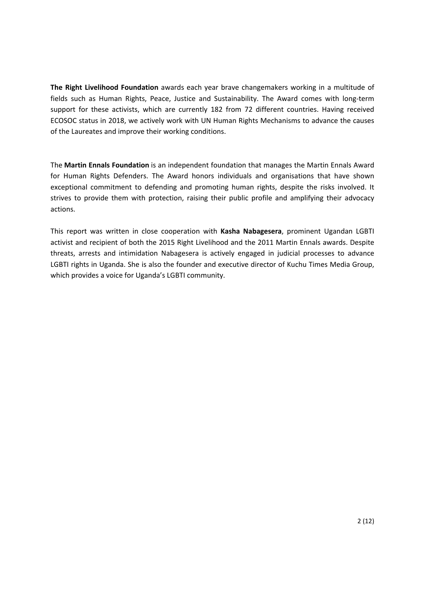**The Right Livelihood Foundation** awards each year brave changemakers working in <sup>a</sup> multitude of fields such as Human Rights, Peace, Justice and Sustainability. The Award comes with long-term support for these activists, which are currently 182 from 72 different countries. Having received ECOSOC status in 2018, we actively work with UN Human Rights Mechanisms to advance the causes of the Laureates and improve their working conditions.

The **Martin Ennals Foundation** is an independent foundation that manages the Martin Ennals Award for Human Rights Defenders. The Award honors individuals and organisations that have shown exceptional commitment to defending and promoting human rights, despite the risks involved. It strives to provide them with protection, raising their public profile and amplifying their advocacy actions.

This report was written in close cooperation with **Kasha Nabagesera**, prominent Ugandan LGBTI activist and recipient of both the 2015 Right Livelihood and the 2011 Martin Ennals awards. Despite threats, arrests and intimidation Nabagesera is actively engaged in judicial processes to advance LGBTI rights in Uganda. She is also the founder and executive director of Kuchu Times Media Group, which provides <sup>a</sup> voice for Uganda'<sup>s</sup> LGBTI community.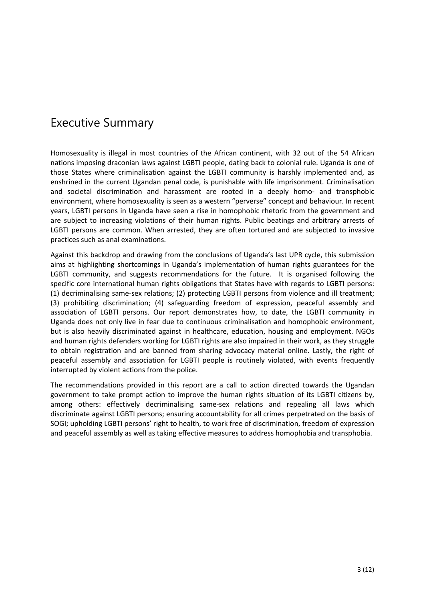## Executive Summary

Homosexuality is illegal in most countries of the African continent, with 32 out of the 54 African nations imposing draconian laws against LGBTI people, dating back to colonial rule. Uganda is one of those States where criminalisation against the LGBTI community is harshly implemented and, as enshrined in the current Ugandan penal code, is punishable with life imprisonment. Criminalisation and societal discrimination and harassment are rooted in <sup>a</sup> deeply homo- and transphobic environment, where homosexuality is seen as <sup>a</sup> western "perverse" concept and behaviour. In recent years, LGBTI persons in Uganda have seen <sup>a</sup> rise in homophobic rhetoric from the government and are subject to increasing violations of their human rights. Public beatings and arbitrary arrests of LGBTI persons are common. When arrested, they are often tortured and are subjected to invasive practices such as anal examinations.

Against this backdrop and drawing from the conclusions of Uganda'<sup>s</sup> last UPR cycle, this submission aims at highlighting shortcomings in Uganda'<sup>s</sup> implementation of human rights guarantees for the LGBTI community, and suggests recommendations for the future. It is organised following the specific core international human rights obligations that States have with regards to LGBTI persons: (1) decriminalising same-sex relations; (2) protecting LGBTI persons from violence and ill treatment; (3) prohibiting discrimination; (4) safeguarding freedom of expression, peaceful assembly and association of LGBTI persons. Our report demonstrates how, to date, the LGBTI community in Uganda does not only live in fear due to continuous criminalisation and homophobic environment, but is also heavily discriminated against in healthcare, education, housing and employment. NGOs and human rights defenders working for LGBTI rights are also impaired in their work, as they struggle to obtain registration and are banned from sharing advocacy material online. Lastly, the right of peaceful assembly and association for LGBTI people is routinely violated, with events frequently interrupted by violent actions from the police.

The recommendations provided in this report are <sup>a</sup> call to action directed towards the Ugandan government to take prompt action to improve the human rights situation of its LGBTI citizens by, among others: effectively decriminalising same-sex relations and repealing all laws which discriminate against LGBTI persons; ensuring accountability for all crimes perpetrated on the basis of SOGI; upholding LGBTI persons' right to health, to work free of discrimination, freedom of expression and peaceful assembly as well as taking effective measures to address homophobia and transphobia.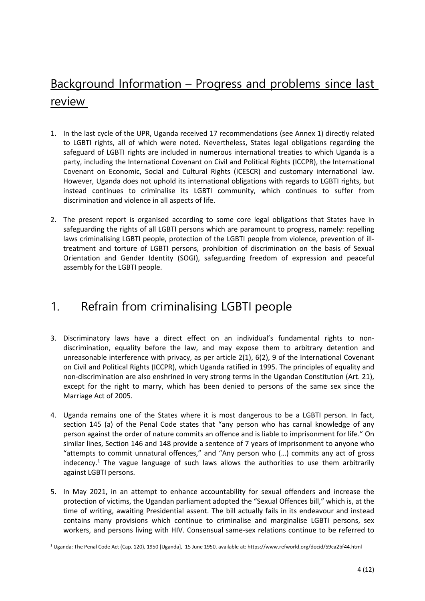# Background Information – Progress and problems since last review

- 1. In the last cycle of the UPR, Uganda received 17 recommendations (see Annex 1) directly related to LGBTI rights, all of which were noted. Nevertheless, States legal obligations regarding the safeguard of LGBTI rights are included in numerous international treaties to which Uganda is <sup>a</sup> party, including the International Covenant on Civil and Political Rights (ICCPR), the International Covenant on Economic, Social and Cultural Rights (ICESCR) and customary international law. However, Uganda does not uphold its international obligations with regards to LGBTI rights, but instead continues to criminalise its LGBTI community, which continues to suffer from discrimination and violence in all aspects of life.
- 2. The present report is organised according to some core legal obligations that States have in safeguarding the rights of all LGBTI persons which are paramount to progress, namely: repelling laws criminalising LGBTI people, protection of the LGBTI people from violence, prevention of illtreatment and torture of LGBTI persons, prohibition of discrimination on the basis of Sexual Orientation and Gender Identity (SOGI), safeguarding freedom of expression and peaceful assembly for the LGBTI people.

# 1. Refrain from criminalising LGBTI people

- 3. Discriminatory laws have <sup>a</sup> direct effect on an individual'<sup>s</sup> fundamental rights to nondiscrimination, equality before the law, and may expose them to arbitrary detention and unreasonable interference with privacy, as per article 2(1), 6(2), 9 of the International Covenant on Civil and Political Rights (ICCPR), which Uganda ratified in 1995. The principles of equality and non-discrimination are also enshrined in very strong terms in the Ugandan Constitution (Art. 21), except for the right to marry, which has been denied to persons of the same sex since the Marriage Act of 2005.
- 4. Uganda remains one of the States where it is most dangerous to be <sup>a</sup> LGBTI person. In fact, section 145 (a) of the Penal Code states that "any person who has carnal knowledge of any person against the order of nature commits an offence and is liable to imprisonment for life." On similar lines, Section 146 and 148 provide <sup>a</sup> sentence of 7 years of imprisonment to anyone who "attempts to commit unnatural offences," and "Any person who (…) commits any act of gross indecency.<sup>1</sup> The vague language of such laws allows the authorities to use them arbitrarily against LGBTI persons.
- 5. In May 2021, in an attempt to enhance accountability for sexual offenders and increase the protection of victims, the Ugandan parliament adopted the "Sexual Offences bill," which is, at the time of writing, awaiting Presidential assent. The bill actually fails in its endeavour and instead contains many provisions which continue to criminalise and marginalise LGBTI persons, sex workers, and persons living with HIV. Consensual same-sex relations continue to be referred to

<sup>&</sup>lt;sup>1</sup> Uganda: The Penal Code Act (Cap. 120), 1950 [Uganda], 15 June 1950, available at: https://www.refworld.org/docid/59ca2bf44.htm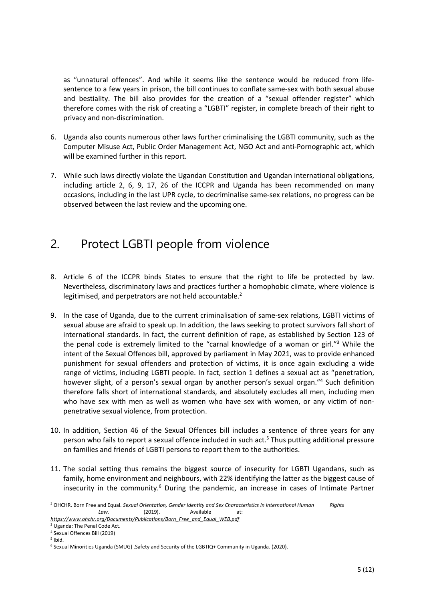as "unnatural offences". And while it seems like the sentence would be reduced from lifesentence to <sup>a</sup> few years in prison, the bill continues to conflate same-sex with both sexual abuse and bestiality. The bill also provides for the creation of <sup>a</sup> "sexual offender register" which therefore comes with the risk of creating <sup>a</sup> "LGBTI" register, in complete breach of their right to privacy and non-discrimination.

- 6. Uganda also counts numerous other laws further criminalising the LGBTI community, such as the Computer Misuse Act, Public Order Management Act, NGO Act and anti-Pornographic act, which will be examined further in this report.
- 7. While such laws directly violate the Ugandan Constitution and Ugandan international obligations, including article 2, 6, 9, 17, 26 of the ICCPR and Uganda has been recommended on many occasions, including in the last UPR cycle, to decriminalise same-sex relations, no progress can be observed between the last review and the upcoming one.

### 2. Protect LGBTI people from violence

- 8. Article 6 of the ICCPR binds States to ensure that the right to life be protected by law. Nevertheless, discriminatory laws and practices further <sup>a</sup> homophobic climate, where violence is legitimised, and perpetrators are not held accountable.<sup>2</sup>
- 9. In the case of Uganda, due to the current criminalisation of same-sex relations, LGBTI victims of sexual abuse are afraid to speak up. In addition, the laws seeking to protect survivors fall short of international standards. In fact, the current definition of rape, as established by Section 123 of the penal code is extremely limited to the "carnal knowledge of a woman or girl."<sup>3</sup> While the intent of the Sexual Offences bill, approved by parliament in May 2021, was to provide enhanced punishment for sexual offenders and protection of victims, it is once again excluding <sup>a</sup> wide range of victims, including LGBTI people. In fact, section 1 defines <sup>a</sup> sexual act as "penetration, however slight, of <sup>a</sup> person'<sup>s</sup> sexual organ by another person'<sup>s</sup> sexual organ." 4 Such definition therefore falls short of international standards, and absolutely excludes all men, including men who have sex with men as well as women who have sex with women, or any victim of nonpenetrative sexual violence, from protection.
- 10. In addition, Section 46 of the Sexual Offences bill includes <sup>a</sup> sentence of three years for any person who fails to report a sexual offence included in such act.<sup>5</sup> Thus putting additional pressure on families and friends of LGBTI persons to report them to the authorities.
- 11. The social setting thus remains the biggest source of insecurity for LGBTI Ugandans, such as family, home environment and neighbours, with 22% identifying the latter as the biggest cause of insecurity in the community.<sup>6</sup> During the pandemic, an increase in cases of Intimate Partner

*[https://www.ohchr.org/Documents/Publications/Born\\_Free\\_and\\_Equal\\_WEB.pdf](https://www.ohchr.org/Documents/Publications/Born_Free_and_Equal_WEB.pdf)*

- 4 Sexual Offences Bill (2019)
- 5 Ibid.

<sup>2</sup> OHCHR. Born Free and Equal. *Sexual Orientation, Gender Identity and Sex Characteristics in International Human Rights Law.* (2019). Available at:

<sup>&</sup>lt;sup>3</sup> Uganda: The Penal Code Act.

<sup>6</sup> Sexual Minorities Uganda (SMUG) .Safety and Security of the LGBTIQ+ Community in Uganda. (2020).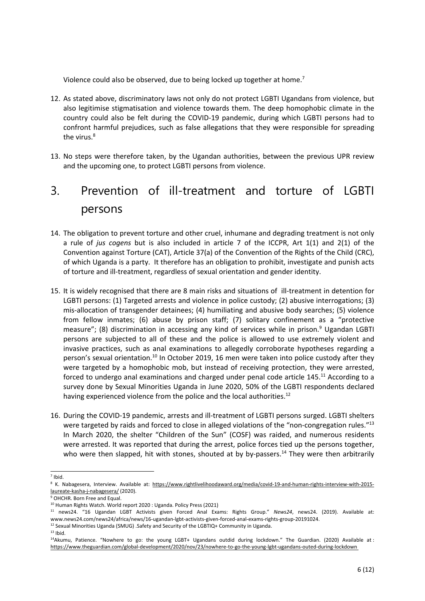Violence could also be observed, due to being locked up together at home.<sup>7</sup>

- 12. As stated above, discriminatory laws not only do not protect LGBTI Ugandans from violence, but also legitimise stigmatisation and violence towards them. The deep homophobic climate in the country could also be felt during the COVID-19 pandemic, during which LGBTI persons had to confront harmful prejudices, such as false allegations that they were responsible for spreading the virus. 8
- 13. No steps were therefore taken, by the Ugandan authorities, between the previous UPR review and the upcoming one, to protect LGBTI persons from violence.

# 3. Prevention of ill-treatment and torture of LGBTI persons

- 14. The obligation to prevent torture and other cruel, inhumane and degrading treatment is not only <sup>a</sup> rule of *jus cogens* but is also included in article 7 of the ICCPR, Art 1(1) and 2(1) of the Convention against Torture (CAT), Article 37(a) of the Convention of the Rights of the Child (CRC), of which Uganda is <sup>a</sup> party. It therefore has an obligation to prohibit, investigate and punish acts of torture and ill-treatment, regardless of sexual orientation and gender identity.
- 15. It is widely recognised that there are 8 main risks and situations of ill-treatment in detention for LGBTI persons: (1) Targeted arrests and violence in police custody; (2) abusive interrogations; (3) mis-allocation of transgender detainees; (4) humiliating and abusive body searches; (5) violence from fellow inmates; (6) abuse by prison staff; (7) solitary confinement as <sup>a</sup> "protective measure"; (8) discrimination in accessing any kind of services while in prison.<sup>9</sup> Ugandan LGBT persons are subjected to all of these and the police is allowed to use extremely violent and invasive practices, such as anal examinations to allegedly corroborate hypotheses regarding <sup>a</sup> person's sexual orientation.<sup>10</sup> In October 2019, 16 men were taken into police custody after they were targeted by <sup>a</sup> homophobic mob, but instead of receiving protection, they were arrested, forced to undergo anal examinations and charged under penal code article  $145.^{11}$  According to a survey done by Sexual Minorities Uganda in June 2020, 50% of the LGBTI respondents declared having experienced violence from the police and the local authorities.<sup>12</sup>
- 16. During the COVID-19 pandemic, arrests and ill-treatment of LGBTI persons surged. LGBTI shelters were targeted by raids and forced to close in alleged violations of the "non-congregation rules."<sup>13</sup> In March 2020, the shelter "Children of the Sun" (COSF) was raided, and numerous residents were arrested. It was reported that during the arrest, police forces tied up the persons together, who were then slapped, hit with stones, shouted at by by-passers.<sup>14</sup> They were then arbitrarily

<sup>12</sup> Sexual Minorities Uganda (SMUG) .Safety and Security of the LGBTIQ+ Community in Uganda.

 $<sup>7</sup>$  Ibid.</sup>

<sup>&</sup>lt;sup>8</sup> K. Nabagesera, Interview. Available at: [https://www.rightlivelihoodaward.org/media/covid-19-and-human-rights-interview-with-2015](https://www.rightlivelihoodaward.org/media/covid-19-and-human-rights-interview-with-2015-laureate-kasha-j-nabagesera/) [laureate-kasha-j-nabagesera/](https://www.rightlivelihoodaward.org/media/covid-19-and-human-rights-interview-with-2015-laureate-kasha-j-nabagesera/) (2020).

<sup>&</sup>lt;sup>9</sup> OHCHR. Born Free and Equal.

<sup>&</sup>lt;sup>10</sup> Human Rights Watch. World report 2020 : Uganda. Policy Press (2021)

<sup>11</sup> news24. "16 Ugandan LGBT Activists given Forced Anal Exams: Rights Group." *News24*, news24. (2019). Available at: www.news24.com/news24/africa/news/16-ugandan-lgbt-activists-given-forced-anal-exams-rights-group-20191024.

 $13$  Ibid.

<sup>&</sup>lt;sup>14</sup>Akumu, Patience. "Nowhere to go: the young LGBT+ Ugandans outdid during lockdown." The Guardian. (2020) Available at <https://www.theguardian.com/global-development/2020/nov/23/nowhere-to-go-the-young-lgbt-ugandans-outed-during-lockdown>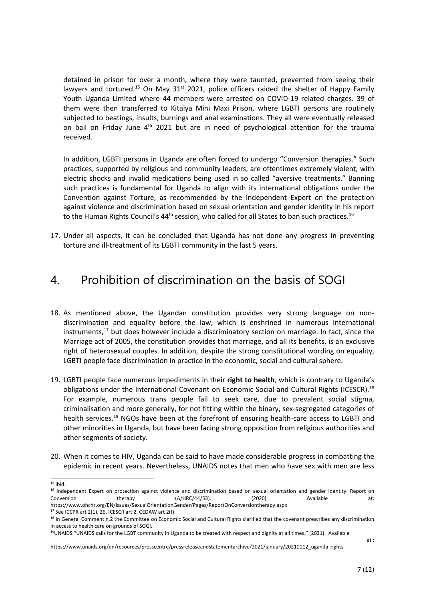detained in prison for over <sup>a</sup> month, where they were taunted, prevented from seeing their lawyers and tortured.<sup>15</sup> On May 31<sup>st</sup> 2021, police officers raided the shelter of Happy Family Youth Uganda Limited where 44 members were arrested on COVID-19 related charges. 39 of them were then transferred to Kitalya Mini Maxi Prison, where LGBTI persons are routinely subjected to beatings, insults, burnings and anal examinations. They all were eventually released on bail on Friday June  $4<sup>th</sup>$  2021 but are in need of psychological attention for the trauma received.

In addition, LGBTI persons in Uganda are often forced to undergo "Conversion therapies." Such practices, supported by religious and community leaders, are oftentimes extremely violent, with electric shocks and invalid medications being used in so called "aversive treatments." Banning such practices is fundamental for Uganda to align with its international obligations under the Convention against Torture, as recommended by the Independent Expert on the protection against violence and discrimination based on sexual orientation and gender identity in his report to the Human Rights Council's 44<sup>th</sup> session, who called for all States to ban such practices.<sup>16</sup>

17. Under all aspects, it can be concluded that Uganda has not done any progress in preventing torture and ill-treatment of its LGBTI community in the last 5 years.

### 4. Prohibition of discrimination on the basis of SOGI

- 18. As mentioned above, the Ugandan constitution provides very strong language on nondiscrimination and equality before the law, which is enshrined in numerous international instruments,<sup>17</sup> but does however include a discriminatory section on marriage. In fact, since the Marriage act of 2005, the constitution provides that marriage, and all its benefits, is an exclusive right of heterosexual couples. In addition, despite the strong constitutional wording on equality, LGBTI people face discrimination in practice in the economic, social and cultural sphere.
- 19. LGBTI people face numerous impediments in their **right to health**, which is contrary to Uganda'<sup>s</sup> obligations under the International Covenant on Economic Social and Cultural Rights (ICESCR).<sup>18</sup> For example, numerous trans people fail to seek care, due to prevalent social stigma, criminalisation and more generally, for not fitting within the binary, sex-segregated categories of health services.<sup>19</sup> NGOs have been at the forefront of ensuring health-care access to LGBTI and other minorities in Uganda, but have been facing strong opposition from religious authorities and other segments of society.
- 20. When it comes to HIV, Uganda can be said to have made considerable progress in combatting the epidemic in recent years. Nevertheless, UNAIDS notes that men who have sex with men are less

[https://www.unaids.org/en/resources/presscentre/pressreleaseandstatementarchive/2021/january/20210112\\_uganda-rights](https://www.unaids.org/en/resources/presscentre/pressreleaseandstatementarchive/2021/january/20210112_uganda-rights)

at :

 $15$  Ibid.

<sup>&</sup>lt;sup>16</sup> Independent Expert on protection against violence and discrimination based on sexual orientation and gender identity. Report or Conversion therapy (A/HRC/44/53). (2020) Available at: https://www.ohchr.org/EN/Issues/SexualOrientationGender/Pages/ReportOnConversiontherapy.aspx

 $17$  See ICCPR art 2(1), 26, ICESCR art 2, CEDAW art 2(f)

<sup>&</sup>lt;sup>18</sup> In General Comment n.2 the Committee on Economic Social and Cultural Rights clarified that the covenant prescribes any discrimination in access to health care on grounds of SOGI.

<sup>19</sup> UNAIDS."UNAIDS calls for the LGBT community in Uganda to be treated with respect and dignity at all times." (2021). Available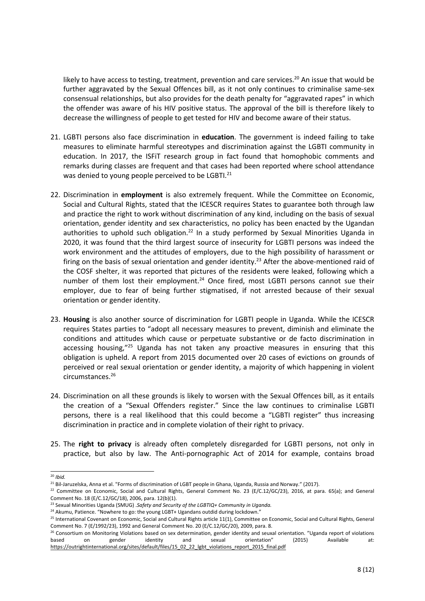likely to have access to testing, treatment, prevention and care services.<sup>20</sup> An issue that would be further aggravated by the Sexual Offences bill, as it not only continues to criminalise same-sex consensual relationships, but also provides for the death penalty for "aggravated rapes" in which the offender was aware of his HIV positive status. The approval of the bill is therefore likely to decrease the willingness of people to get tested for HIV and become aware of their status.

- 21. LGBTI persons also face discrimination in **education**. The government is indeed failing to take measures to eliminate harmful stereotypes and discrimination against the LGBTI community in education. In 2017, the ISFiT research group in fact found that homophobic comments and remarks during classes are frequent and that cases had been reported where school attendance was denied to young people perceived to be LGBTI.<sup>21</sup>
- 22. Discrimination in **employment** is also extremely frequent. While the Committee on Economic, Social and Cultural Rights, stated that the ICESCR requires States to guarantee both through law and practice the right to work without discrimination of any kind, including on the basis of sexual orientation, gender identity and sex characteristics, no policy has been enacted by the Ugandan authorities to uphold such obligation.<sup>22</sup> In a study performed by Sexual Minorities Uganda in 2020, it was found that the third largest source of insecurity for LGBTI persons was indeed the work environment and the attitudes of employers, due to the high possibility of harassment or firing on the basis of sexual orientation and gender identity.<sup>23</sup> After the above-mentioned raid of the COSF shelter, it was reported that pictures of the residents were leaked, following which <sup>a</sup> number of them lost their employment.<sup>24</sup> Once fired, most LGBTI persons cannot sue their employer, due to fear of being further stigmatised, if not arrested because of their sexual orientation or gender identity.
- 23. **Housing** is also another source of discrimination for LGBTI people in Uganda. While the ICESCR requires States parties to "adopt all necessary measures to prevent, diminish and eliminate the conditions and attitudes which cause or perpetuate substantive or de facto discrimination in accessing housing,"<sup>25</sup> Uganda has not taken any proactive measures in ensuring that this obligation is upheld. A report from 2015 documented over 20 cases of evictions on grounds of perceived or real sexual orientation or gender identity, <sup>a</sup> majority of which happening in violent circumstances. 26
- 24. Discrimination on all these grounds is likely to worsen with the Sexual Offences bill, as it entails the creation of <sup>a</sup> "Sexual Offenders register." Since the law continues to criminalise LGBTI persons, there is <sup>a</sup> real likelihood that this could become <sup>a</sup> "LGBTI register" thus increasing discrimination in practice and in complete violation of their right to privacy.
- 25. The **right to privacy** is already often completely disregarded for LGBTI persons, not only in practice, but also by law. The Anti-pornographic Act of 2014 for example, contains broad

<sup>20</sup> *Ibid.*

<sup>&</sup>lt;sup>21</sup> Bil-Jaruzelska, Anna et al. "Forms of discrimination of LGBT people in Ghana, Uganda, Russia and Norway." (2017).

<sup>&</sup>lt;sup>22</sup> Committee on Economic, Social and Cultural Rights, General Comment No. 23 (E/C.12/GC/23), 2016, at para. 65(a); and Genera Comment No. 18 (E/C.12/GC/18), 2006, para. 12(b)(1).

<sup>23</sup> Sexual Minorities Uganda (SMUG) .*Safety and Security of the LGBTIQ+ Community in Uganda.*

<sup>&</sup>lt;sup>24</sup> Akumu, Patience. "Nowhere to go: the young LGBT+ Ugandans outdid during lockdown."

<sup>&</sup>lt;sup>25</sup> International Covenant on Economic, Social and Cultural Rights article 11(1), Committee on Economic, Social and Cultural Rights, Genera Comment No. 7 (E/1992/23), 1992 and General Comment No. 20 (E/C.12/GC/20), 2009, para. 8.

<sup>&</sup>lt;sup>26</sup> Consortium on Monitoring Violations based on sex determination, gender identity and seuxal orientation. "Uganda report of violations based on gender identity and sexual orientation" (2015) Available at: [https://outrightinternational.org/sites/default/files/15\\_02\\_22\\_lgbt\\_violations\\_report\\_2015\\_final.pdf](https://outrightinternational.org/sites/default/files/15_02_22_lgbt_violations_report_2015_final.pdf)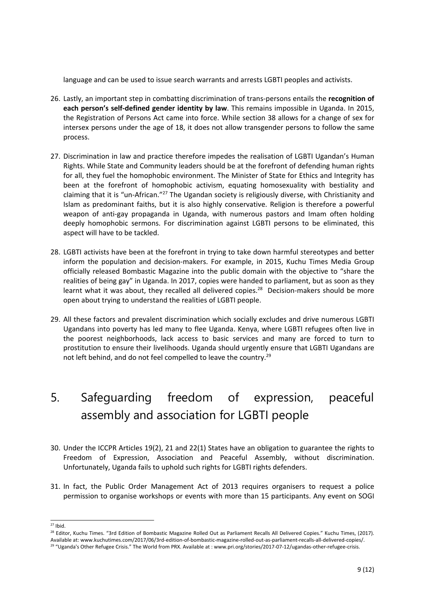language and can be used to issue search warrants and arrests LGBTI peoples and activists.

- 26. Lastly, an important step in combatting discrimination of trans-persons entails the **recognition of each person'<sup>s</sup> self-defined gender identity by law**. This remains impossible in Uganda. In 2015, the Registration of Persons Act came into force. While section 38 allows for <sup>a</sup> change of sex for intersex persons under the age of 18, it does not allow transgender persons to follow the same process.
- 27. Discrimination in law and practice therefore impedes the realisation of LGBTI Ugandan'<sup>s</sup> Human Rights. While State and Community leaders should be at the forefront of defending human rights for all, they fuel the homophobic environment. The Minister of State for Ethics and Integrity has been at the forefront of homophobic activism, equating homosexuality with bestiality and claiming that it is "un-African."<sup>27</sup> The Ugandan society is religiously diverse, with Christianity and Islam as predominant faiths, but it is also highly conservative. Religion is therefore <sup>a</sup> powerful weapon of anti-gay propaganda in Uganda, with numerous pastors and Imam often holding deeply homophobic sermons. For discrimination against LGBTI persons to be eliminated, this aspect will have to be tackled.
- 28. LGBTI activists have been at the forefront in trying to take down harmful stereotypes and better inform the population and decision-makers. For example, in 2015, Kuchu Times Media Group officially released Bombastic Magazine into the public domain with the objective to "share the realities of being gay" in Uganda. In 2017, copies were handed to parliament, but as soon as they learnt what it was about, they recalled all delivered copies.<sup>28</sup> Decision-makers should be more open about trying to understand the realities of LGBTI people.
- 29. All these factors and prevalent discrimination which socially excludes and drive numerous LGBTI Ugandans into poverty has led many to flee Uganda. Kenya, where LGBTI refugees often live in the poorest neighborhoods, lack access to basic services and many are forced to turn to prostitution to ensure their livelihoods. Uganda should urgently ensure that LGBTI Ugandans are not left behind, and do not feel compelled to leave the country.<sup>29</sup>

# 5. Safeguarding freedom of expression, peaceful assembly and association for LGBTI people

- 30. Under the ICCPR Articles 19(2), 21 and 22(1) States have an obligation to guarantee the rights to Freedom of Expression, Association and Peaceful Assembly, without discrimination. Unfortunately, Uganda fails to uphold such rights for LGBTI rights defenders.
- 31. In fact, the Public Order Management Act of 2013 requires organisers to request <sup>a</sup> police permission to organise workshops or events with more than 15 participants. Any event on SOGI

 $27$  Ibid.

<sup>&</sup>lt;sup>28</sup> Editor, Kuchu Times. "3rd Edition of Bombastic Magazine Rolled Out as Parliament Recalls All Delivered Copies." Kuchu Times, (2017) Available at: www.kuchutimes.com/2017/06/3rd-edition-of-bombastic-magazine-rolled-out-as-parliament-recalls-all-delivered-copies/. <sup>29</sup> "Uganda's Other Refugee Crisis." The World from PRX. Available at : www.pri.org/stories/2017-07-12/ugandas-other-refugee-crisis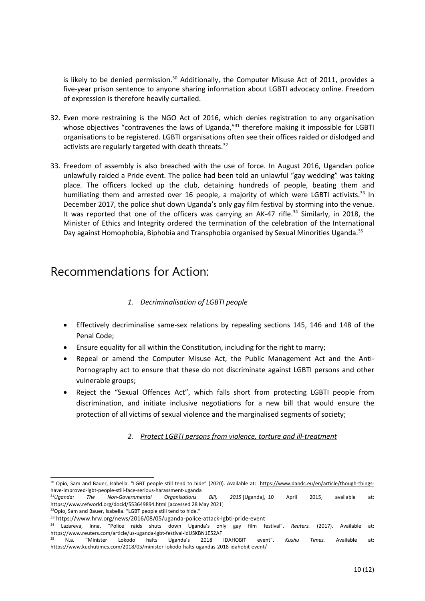is likely to be denied permission.<sup>30</sup> Additionally, the Computer Misuse Act of 2011, provides a five-year prison sentence to anyone sharing information about LGBTI advocacy online. Freedom of expression is therefore heavily curtailed.

- 32. Even more restraining is the NGO Act of 2016, which denies registration to any organisation whose objectives "contravenes the laws of Uganda,"<sup>31</sup> therefore making it impossible for LGBT organisations to be registered. LGBTI organisations often see their offices raided or dislodged and activists are regularly targeted with death threats.<sup>32</sup>
- 33. Freedom of assembly is also breached with the use of force. In August 2016, Ugandan police unlawfully raided <sup>a</sup> Pride event. The police had been told an unlawful "gay wedding" was taking place. The officers locked up the club, detaining hundreds of people, beating them and humiliating them and arrested over 16 people, a majority of which were LGBTI activists.<sup>33</sup> In December 2017, the police shut down Uganda'<sup>s</sup> only gay film festival by storming into the venue. It was reported that one of the officers was carrying an AK-47 rifle.<sup>34</sup> Similarly, in 2018, the Minister of Ethics and Integrity ordered the termination of the celebration of the International Day against Homophobia, Biphobia and Transphobia organised by Sexual Minorities Uganda.<sup>35</sup>

### Recommendations for Action:

#### *1. Decriminalisation of LGBTI people*

- 6 Effectively decriminalise same-sex relations by repealing sections 145, 146 and 148 of the Penal Code;
- Ensure equality for all within the Constitution, including for the right to marry;
- 6 Repeal or amend the Computer Misuse Act, the Public Management Act and the Anti-Pornography act to ensure that these do not discriminate against LGBTI persons and other vulnerable groups;
- 6 Reject the "Sexual Offences Act", which falls short from protecting LGBTI people from discrimination, and initiate inclusive negotiations for <sup>a</sup> new bill that would ensure the protection of all victims of sexual violence and the marginalised segments of society;

### *2. Protect LGBTI persons from violence, torture and ill-treatment*

<sup>&</sup>lt;sup>30</sup> Opio, Sam and Bauer, Isabella. "LGBT people still tend to hide" (2020). Available at: [https://www.dandc.eu/en/article/though-things](https://www.dandc.eu/en/article/though-things-have-improved-lgbt-people-still-face-serious-harassment-uganda)[have-improved-lgbt-people-still-face-serious-harassment-uganda](https://www.dandc.eu/en/article/though-things-have-improved-lgbt-people-still-face-serious-harassment-uganda)

 $31$ Jaanda: *Uganda: The Non-Governmental Organisations Bill, 2015* [Uganda], 10 April 2015, available at: https://www.refworld.org/docid/553649894.html [accessed 28 May 2021]

<sup>&</sup>lt;sup>32</sup>Opio, Sam and Bauer, Isabella. "LGBT people still tend to hide."

<sup>33</sup> https://www.hrw.org/news/2016/08/05/uganda-police-attack-lgbti-pride-event

<sup>&</sup>lt;sup>34</sup> Lazareva, Inna. "Police raids shuts down Uganda's only gay film festival". *Reuters.* (2017). Available at https://www.reuters.com/article/us-uganda-lgbt-festival-idUSKBN1E52AF

<sup>35</sup> N.a. "Minister Lokodo halts Uganda'<sup>s</sup> 2018 IDAHOBIT event". *Kushu Times.* Available at: https://www.kuchutimes.com/2018/05/minister-lokodo-halts-ugandas-2018-idahobit-event/